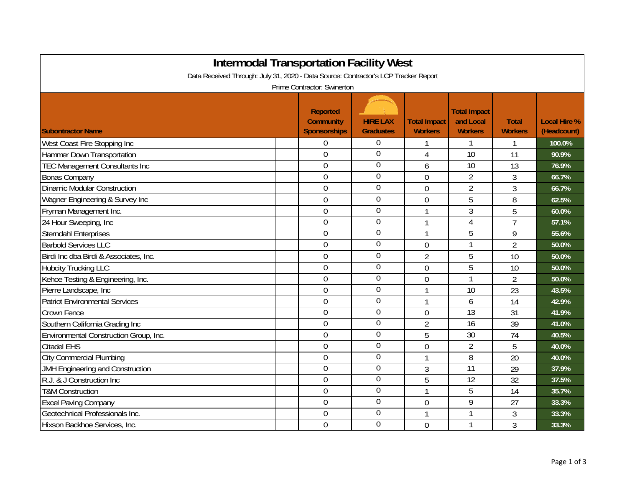| <b>Intermodal Transportation Facility West</b>                                                                     |                                                     |                                     |                                       |                                                    |                                |                                    |  |  |
|--------------------------------------------------------------------------------------------------------------------|-----------------------------------------------------|-------------------------------------|---------------------------------------|----------------------------------------------------|--------------------------------|------------------------------------|--|--|
| Data Received Through: July 31, 2020 - Data Source: Contractor's LCP Tracker Report<br>Prime Contractor: Swinerton |                                                     |                                     |                                       |                                                    |                                |                                    |  |  |
| <b>Subontractor Name</b>                                                                                           | <b>Reported</b><br><b>Community</b><br>Sponsorships | <b>HIRE LAX</b><br><b>Graduates</b> | <b>Total Impact</b><br><b>Workers</b> | <b>Total Impact</b><br>and Local<br><b>Workers</b> | <b>Total</b><br><b>Workers</b> | <b>Local Hire %</b><br>(Headcount) |  |  |
| West Coast Fire Stopping Inc                                                                                       | 0                                                   | $\boldsymbol{0}$                    | 1                                     | 1                                                  | 1                              | 100.0%                             |  |  |
| <b>Hammer Down Transportation</b>                                                                                  | 0                                                   | $\boldsymbol{0}$                    | 4                                     | 10                                                 | 11                             | 90.9%                              |  |  |
| <b>TEC Management Consultants Inc</b>                                                                              | $\boldsymbol{0}$                                    | $\boldsymbol{0}$                    | 6                                     | 10                                                 | 13                             | 76.9%                              |  |  |
| <b>Bonas Company</b>                                                                                               | $\overline{0}$                                      | $\overline{0}$                      | $\overline{0}$                        | $\overline{2}$                                     | 3                              | 66.7%                              |  |  |
| <b>Dinamic Modular Construction</b>                                                                                | $\mathbf 0$                                         | $\boldsymbol{0}$                    | 0                                     | $\overline{2}$                                     | 3                              | 66.7%                              |  |  |
| Wagner Engineering & Survey Inc                                                                                    | 0                                                   | $\mathbf 0$                         | 0                                     | 5                                                  | 8                              | 62.5%                              |  |  |
| Fryman Management Inc.                                                                                             | 0                                                   | $\overline{0}$                      | 1                                     | 3                                                  | 5                              | 60.0%                              |  |  |
| 24 Hour Sweeping, Inc                                                                                              | $\overline{0}$                                      | $\overline{0}$                      | $\mathbf{1}$                          | $\overline{4}$                                     | $\overline{7}$                 | 57.1%                              |  |  |
| <b>Sterndahl Enterprises</b>                                                                                       | $\mathbf 0$                                         | $\overline{0}$                      | 1                                     | 5                                                  | 9                              | 55.6%                              |  |  |
| <b>Barbold Services LLC</b>                                                                                        | 0                                                   | $\overline{0}$                      | 0                                     | $\mathbf{1}$                                       | $\overline{2}$                 | 50.0%                              |  |  |
| Birdi Inc dba Birdi & Associates, Inc.                                                                             | $\boldsymbol{0}$                                    | $\mathbf 0$                         | $\overline{2}$                        | 5                                                  | 10                             | 50.0%                              |  |  |
| <b>Hubcity Trucking LLC</b>                                                                                        | $\boldsymbol{0}$                                    | $\overline{0}$                      | $\overline{0}$                        | 5                                                  | 10                             | 50.0%                              |  |  |
| Kehoe Testing & Engineering, Inc.                                                                                  | $\boldsymbol{0}$                                    | $\boldsymbol{0}$                    | 0                                     | 1                                                  | $\overline{2}$                 | 50.0%                              |  |  |
| Pierre Landscape, Inc                                                                                              | 0                                                   | $\overline{0}$                      | 1                                     | 10                                                 | 23                             | 43.5%                              |  |  |
| <b>Patriot Environmental Services</b>                                                                              | 0                                                   | $\boldsymbol{0}$                    | 1                                     | 6                                                  | 14                             | 42.9%                              |  |  |
| <b>Crown Fence</b>                                                                                                 | 0                                                   | $\boldsymbol{0}$                    | 0                                     | $\overline{13}$                                    | 31                             | 41.9%                              |  |  |
| Southern California Grading Inc                                                                                    | $\overline{0}$                                      | $\mathbf 0$                         | $\overline{2}$                        | 16                                                 | 39                             | 41.0%                              |  |  |
| Environmental Construction Group, Inc.                                                                             | $\overline{0}$                                      | $\overline{0}$                      | 5                                     | 30                                                 | 74                             | 40.5%                              |  |  |
| <b>Citadel EHS</b>                                                                                                 | 0                                                   | $\overline{0}$                      | $\overline{0}$                        | $\overline{2}$                                     | 5                              | 40.0%                              |  |  |
| <b>City Commercial Plumbing</b>                                                                                    | $\boldsymbol{0}$                                    | $\boldsymbol{0}$                    | 1                                     | 8                                                  | 20                             | 40.0%                              |  |  |
| JMH Engineering and Construction                                                                                   | 0                                                   | $\mathbf 0$                         | 3                                     | 11                                                 | 29                             | 37.9%                              |  |  |
| R.J. & J Construction Inc                                                                                          | $\boldsymbol{0}$                                    | $\overline{0}$                      | 5                                     | 12                                                 | 32                             | 37.5%                              |  |  |
| <b>T&amp;M Construction</b>                                                                                        | 0                                                   | $\overline{0}$                      | 1                                     | 5                                                  | 14                             | 35.7%                              |  |  |
| <b>Excel Paving Company</b>                                                                                        | 0                                                   | $\boldsymbol{0}$                    | 0                                     | 9                                                  | 27                             | 33.3%                              |  |  |
| Geotechnical Professionals Inc.                                                                                    | $\overline{0}$                                      | $\mathbf 0$                         | 1                                     | $\mathbf{1}$                                       | $\overline{3}$                 | 33.3%                              |  |  |
| Hixson Backhoe Services, Inc.                                                                                      | $\overline{0}$                                      | $\overline{0}$                      | 0                                     | 1                                                  | 3                              | 33.3%                              |  |  |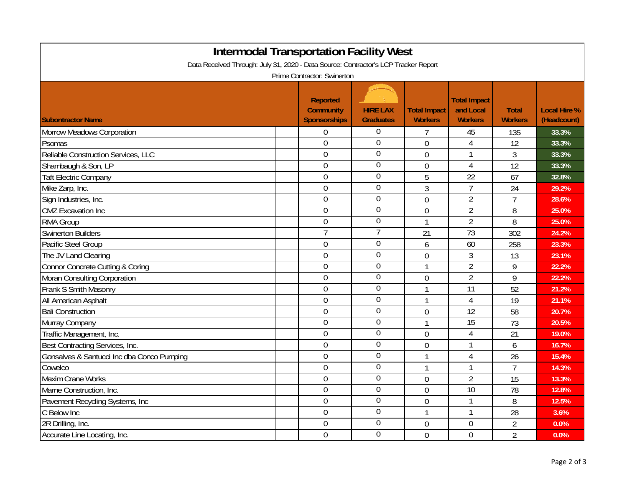| <b>Intermodal Transportation Facility West</b><br>Data Received Through: July 31, 2020 - Data Source: Contractor's LCP Tracker Report<br>Prime Contractor: Swinerton |  |                  |                  |                |                 |                |       |  |
|----------------------------------------------------------------------------------------------------------------------------------------------------------------------|--|------------------|------------------|----------------|-----------------|----------------|-------|--|
|                                                                                                                                                                      |  |                  |                  |                |                 |                |       |  |
| Morrow Meadows Corporation                                                                                                                                           |  | $\boldsymbol{0}$ | 0                | 7              | 45              | 135            | 33.3% |  |
| Psomas                                                                                                                                                               |  | $\boldsymbol{0}$ | $\mathbf 0$      | $\overline{0}$ | $\overline{4}$  | 12             | 33.3% |  |
| Reliable Construction Services, LLC                                                                                                                                  |  | $\overline{0}$   | $\overline{0}$   | $\overline{0}$ | $\mathbf{1}$    | 3              | 33.3% |  |
| Shambaugh & Son, LP                                                                                                                                                  |  | $\boldsymbol{0}$ | $\overline{0}$   | $\overline{0}$ | $\overline{4}$  | 12             | 33.3% |  |
| <b>Taft Electric Company</b>                                                                                                                                         |  | $\boldsymbol{0}$ | $\overline{0}$   | 5              | $\overline{22}$ | 67             | 32.8% |  |
| Mike Zarp, Inc.                                                                                                                                                      |  | $\boldsymbol{0}$ | $\boldsymbol{0}$ | 3              | $\overline{7}$  | 24             | 29.2% |  |
| Sign Industries, Inc.                                                                                                                                                |  | $\boldsymbol{0}$ | $\overline{0}$   | $\overline{0}$ | $\overline{2}$  | $\overline{7}$ | 28.6% |  |
| <b>CMZ</b> Excavation Inc                                                                                                                                            |  | $\boldsymbol{0}$ | $\overline{0}$   | $\overline{0}$ | $\overline{2}$  | 8              | 25.0% |  |
| <b>RMA Group</b>                                                                                                                                                     |  | $\mathbf 0$      | $\overline{0}$   | 1              | $\overline{2}$  | 8              | 25.0% |  |
| <b>Swinerton Builders</b>                                                                                                                                            |  | $\overline{7}$   | $\overline{7}$   | 21             | $\overline{73}$ | 302            | 24.2% |  |
| Pacific Steel Group                                                                                                                                                  |  | $\overline{0}$   | $\boldsymbol{0}$ | 6              | 60              | 258            | 23.3% |  |
| The JV Land Clearing                                                                                                                                                 |  | $\overline{0}$   | $\overline{0}$   | $\overline{0}$ | $\mathfrak{Z}$  | 13             | 23.1% |  |
| Connor Concrete Cutting & Coring                                                                                                                                     |  | $\mathbf 0$      | $\boldsymbol{0}$ | 1              | $\overline{2}$  | 9              | 22.2% |  |
| Moran Consulting Corporation                                                                                                                                         |  | $\mathbf 0$      | $\mathbf 0$      | $\overline{0}$ | $\overline{2}$  | 9              | 22.2% |  |
| Frank S Smith Masonry                                                                                                                                                |  | $\mathbf 0$      | $\boldsymbol{0}$ | 1              | $\overline{11}$ | 52             | 21.2% |  |
| All American Asphalt                                                                                                                                                 |  | $\mathbf 0$      | $\overline{0}$   | 1              | $\overline{4}$  | 19             | 21.1% |  |
| <b>Bali Construction</b>                                                                                                                                             |  | $\mathbf 0$      | $\overline{0}$   | $\overline{0}$ | $\overline{12}$ | 58             | 20.7% |  |
| Murray Company                                                                                                                                                       |  | $\boldsymbol{0}$ | $\overline{0}$   | 1              | $\overline{15}$ | 73             | 20.5% |  |
| Traffic Management, Inc.                                                                                                                                             |  | $\mathbf 0$      | $\boldsymbol{0}$ | $\overline{0}$ | $\overline{4}$  | 21             | 19.0% |  |
| Best Contracting Services, Inc.                                                                                                                                      |  | $\mathbf 0$      | $\overline{0}$   | $\overline{0}$ | $\mathbf{1}$    | 6              | 16.7% |  |
| Gonsalves & Santucci Inc dba Conco Pumping                                                                                                                           |  | $\mathbf 0$      | $\overline{0}$   | 1              | $\overline{4}$  | 26             | 15.4% |  |
| Cowelco                                                                                                                                                              |  | $\overline{0}$   | $\overline{0}$   | 1              | $\mathbf{1}$    | $\overline{7}$ | 14.3% |  |
| <b>Maxim Crane Works</b>                                                                                                                                             |  | $\boldsymbol{0}$ | $\mathbf 0$      | $\overline{0}$ | $\overline{2}$  | 15             | 13.3% |  |
| Marne Construction, Inc.                                                                                                                                             |  | $\mathbf 0$      | $\overline{0}$   | $\overline{0}$ | $\overline{10}$ | 78             | 12.8% |  |
| Pavement Recycling Systems, Inc.                                                                                                                                     |  | $\mathbf 0$      | $\overline{0}$   | $\overline{0}$ | 1               | 8              | 12.5% |  |
| C Below Inc                                                                                                                                                          |  | $\mathbf 0$      | $\overline{0}$   | 1              | 1               | 28             | 3.6%  |  |
| 2R Drilling, Inc.                                                                                                                                                    |  | $\mathbf 0$      | $\boldsymbol{0}$ | $\theta$       | 0               | $\overline{2}$ | 0.0%  |  |
| Accurate Line Locating, Inc.                                                                                                                                         |  | $\mathbf 0$      | $\overline{0}$   | $\overline{0}$ | $\overline{0}$  | $\overline{2}$ | 0.0%  |  |